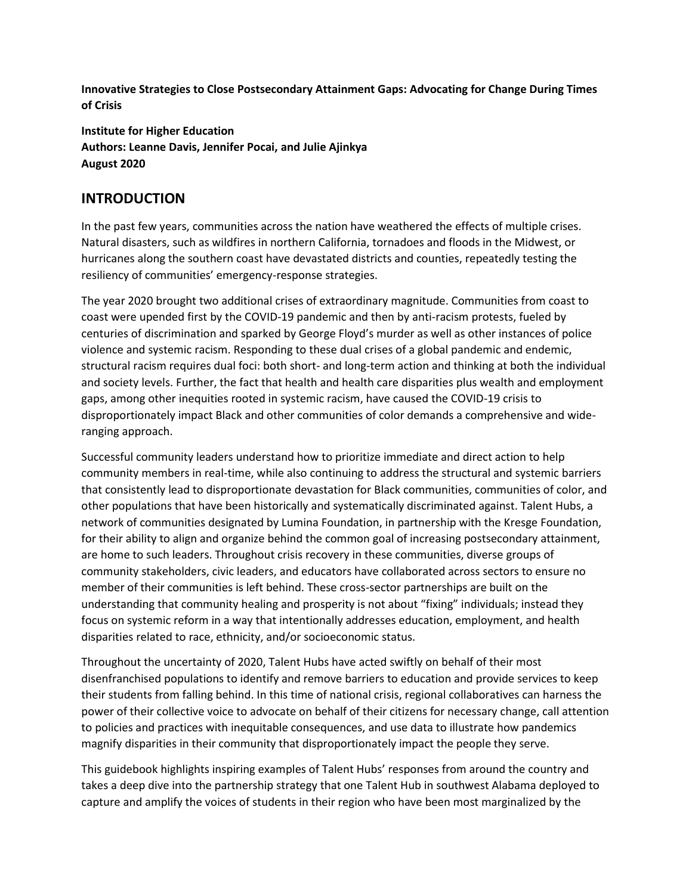**Innovative Strategies to Close Postsecondary Attainment Gaps: Advocating for Change During Times of Crisis**

**Institute for Higher Education Authors: Leanne Davis, Jennifer Pocai, and Julie Ajinkya August 2020**

## **INTRODUCTION**

In the past few years, communities across the nation have weathered the effects of multiple crises. Natural disasters, such as wildfires in northern California, tornadoes and floods in the Midwest, or hurricanes along the southern coast have devastated districts and counties, repeatedly testing the resiliency of communities' emergency-response strategies.

The year 2020 brought two additional crises of extraordinary magnitude. Communities from coast to coast were upended first by the COVID-19 pandemic and then by anti-racism protests, fueled by centuries of discrimination and sparked by George Floyd's murder as well as other instances of police violence and systemic racism. Responding to these dual crises of a global pandemic and endemic, structural racism requires dual foci: both short- and long-term action and thinking at both the individual and society levels. Further, the fact that health and health care disparities plus wealth and employment gaps, among other inequities rooted in systemic racism, have caused the COVID-19 crisis to disproportionately impact Black and other communities of color demands a comprehensive and wideranging approach.

Successful community leaders understand how to prioritize immediate and direct action to help community members in real-time, while also continuing to address the structural and systemic barriers that consistently lead to disproportionate devastation for Black communities, communities of color, and other populations that have been historically and systematically discriminated against. Talent Hubs, a network of communities designated by Lumina Foundation, in partnership with the Kresge Foundation, for their ability to align and organize behind the common goal of increasing postsecondary attainment, are home to such leaders. Throughout crisis recovery in these communities, diverse groups of community stakeholders, civic leaders, and educators have collaborated across sectors to ensure no member of their communities is left behind. These cross-sector partnerships are built on the understanding that community healing and prosperity is not about "fixing" individuals; instead they focus on systemic reform in a way that intentionally addresses education, employment, and health disparities related to race, ethnicity, and/or socioeconomic status.

Throughout the uncertainty of 2020, Talent Hubs have acted swiftly on behalf of their most disenfranchised populations to identify and remove barriers to education and provide services to keep their students from falling behind. In this time of national crisis, regional collaboratives can harness the power of their collective voice to advocate on behalf of their citizens for necessary change, call attention to policies and practices with inequitable consequences, and use data to illustrate how pandemics magnify disparities in their community that disproportionately impact the people they serve.

This guidebook highlights inspiring examples of Talent Hubs' responses from around the country and takes a deep dive into the partnership strategy that one Talent Hub in southwest Alabama deployed to capture and amplify the voices of students in their region who have been most marginalized by the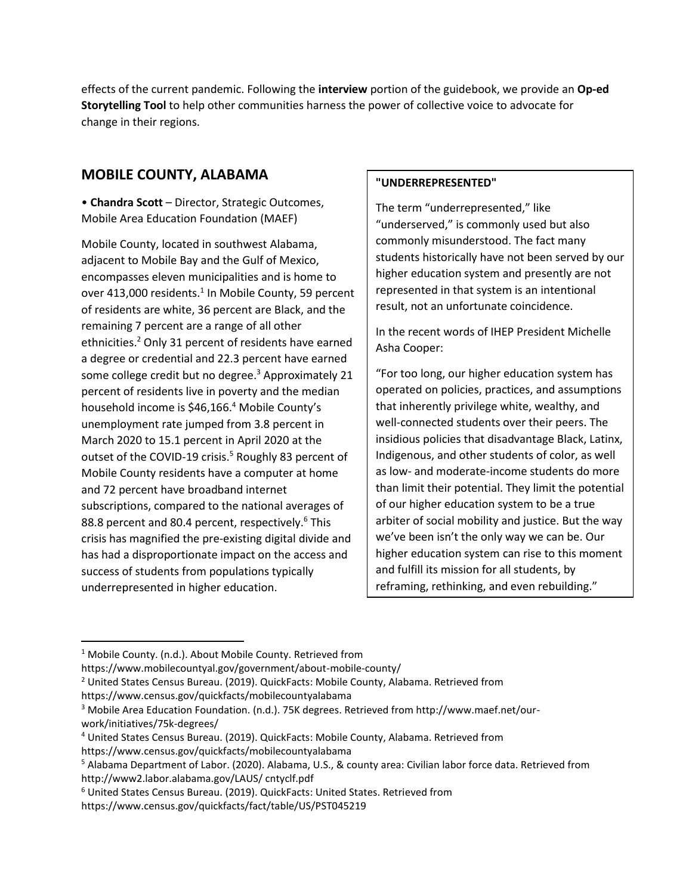effects of the current pandemic. Following the **interview** portion of the guidebook, we provide an **Op-ed Storytelling Tool** to help other communities harness the power of collective voice to advocate for change in their regions.

## **MOBILE COUNTY, ALABAMA**

• **Chandra Scott** – Director, Strategic Outcomes, Mobile Area Education Foundation (MAEF)

Mobile County, located in southwest Alabama, adjacent to Mobile Bay and the Gulf of Mexico, encompasses eleven municipalities and is home to over 413,000 residents. $1$  In Mobile County, 59 percent of residents are white, 36 percent are Black, and the remaining 7 percent are a range of all other ethnicities.<sup>2</sup> Only 31 percent of residents have earned a degree or credential and 22.3 percent have earned some college credit but no degree.<sup>3</sup> Approximately 21 percent of residents live in poverty and the median household income is \$46,166.<sup>4</sup> Mobile County's unemployment rate jumped from 3.8 percent in March 2020 to 15.1 percent in April 2020 at the outset of the COVID-19 crisis.<sup>5</sup> Roughly 83 percent of Mobile County residents have a computer at home and 72 percent have broadband internet subscriptions, compared to the national averages of 88.8 percent and 80.4 percent, respectively.<sup>6</sup> This crisis has magnified the pre-existing digital divide and has had a disproportionate impact on the access and success of students from populations typically underrepresented in higher education.

### **"UNDERREPRESENTED"**

The term "underrepresented," like "underserved," is commonly used but also commonly misunderstood. The fact many students historically have not been served by our higher education system and presently are not represented in that system is an intentional result, not an unfortunate coincidence.

In the recent words of IHEP President Michelle Asha Cooper:

"For too long, our higher education system has operated on policies, practices, and assumptions that inherently privilege white, wealthy, and well-connected students over their peers. The insidious policies that disadvantage Black, Latinx, Indigenous, and other students of color, as well as low- and moderate-income students do more than limit their potential. They limit the potential of our higher education system to be a true arbiter of social mobility and justice. But the way we've been isn't the only way we can be. Our higher education system can rise to this moment and fulfill its mission for all students, by reframing, rethinking, and even rebuilding."

<sup>&</sup>lt;sup>1</sup> Mobile County. (n.d.). About Mobile County. Retrieved from

https://www.mobilecountyal.gov/government/about-mobile-county/

<sup>&</sup>lt;sup>2</sup> United States Census Bureau. (2019). QuickFacts: Mobile County, Alabama. Retrieved from https://www.census.gov/quickfacts/mobilecountyalabama

<sup>3</sup> Mobile Area Education Foundation. (n.d.). 75K degrees. Retrieved from http://www.maef.net/ourwork/initiatives/75k-degrees/

<sup>4</sup> United States Census Bureau. (2019). QuickFacts: Mobile County, Alabama. Retrieved from https://www.census.gov/quickfacts/mobilecountyalabama

<sup>5</sup> Alabama Department of Labor. (2020). Alabama, U.S., & county area: Civilian labor force data. Retrieved from http://www2.labor.alabama.gov/LAUS/ cntyclf.pdf

<sup>6</sup> United States Census Bureau. (2019). QuickFacts: United States. Retrieved from

https://www.census.gov/quickfacts/fact/table/US/PST045219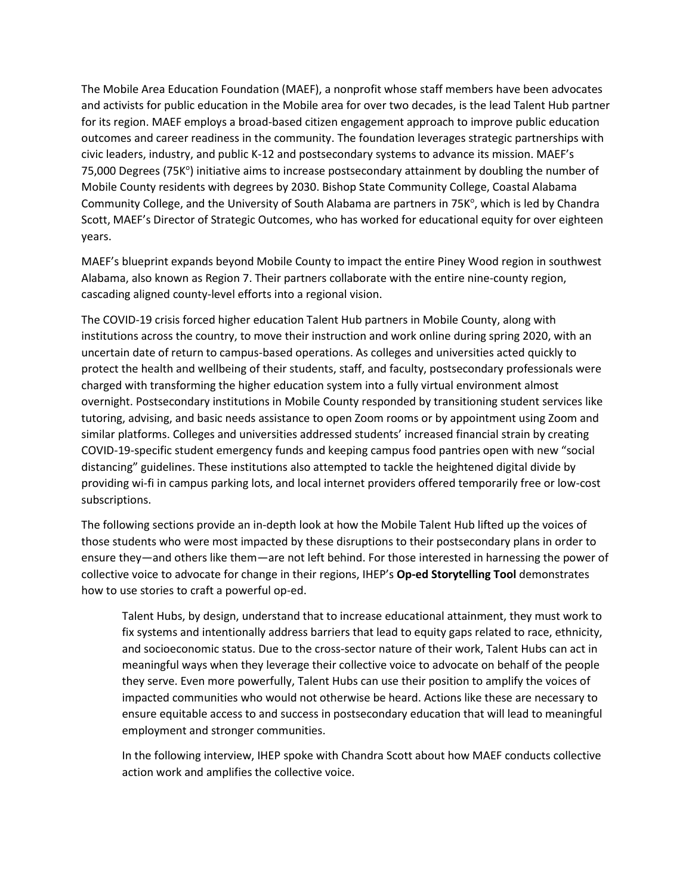The Mobile Area Education Foundation (MAEF), a nonprofit whose staff members have been advocates and activists for public education in the Mobile area for over two decades, is the lead Talent Hub partner for its region. MAEF employs a broad-based citizen engagement approach to improve public education outcomes and career readiness in the community. The foundation leverages strategic partnerships with civic leaders, industry, and public K-12 and postsecondary systems to advance its mission. MAEF's 75,000 Degrees (75K<sup>o</sup>) initiative aims to increase postsecondary attainment by doubling the number of Mobile County residents with degrees by 2030. Bishop State Community College, Coastal Alabama Community College, and the University of South Alabama are partners in 75K°, which is led by Chandra Scott, MAEF's Director of Strategic Outcomes, who has worked for educational equity for over eighteen years.

MAEF's blueprint expands beyond Mobile County to impact the entire Piney Wood region in southwest Alabama, also known as Region 7. Their partners collaborate with the entire nine-county region, cascading aligned county-level efforts into a regional vision.

The COVID-19 crisis forced higher education Talent Hub partners in Mobile County, along with institutions across the country, to move their instruction and work online during spring 2020, with an uncertain date of return to campus-based operations. As colleges and universities acted quickly to protect the health and wellbeing of their students, staff, and faculty, postsecondary professionals were charged with transforming the higher education system into a fully virtual environment almost overnight. Postsecondary institutions in Mobile County responded by transitioning student services like tutoring, advising, and basic needs assistance to open Zoom rooms or by appointment using Zoom and similar platforms. Colleges and universities addressed students' increased financial strain by creating COVID-19-specific student emergency funds and keeping campus food pantries open with new "social distancing" guidelines. These institutions also attempted to tackle the heightened digital divide by providing wi-fi in campus parking lots, and local internet providers offered temporarily free or low-cost subscriptions.

The following sections provide an in-depth look at how the Mobile Talent Hub lifted up the voices of those students who were most impacted by these disruptions to their postsecondary plans in order to ensure they—and others like them—are not left behind. For those interested in harnessing the power of collective voice to advocate for change in their regions, IHEP's **Op-ed Storytelling Tool** demonstrates how to use stories to craft a powerful op-ed.

Talent Hubs, by design, understand that to increase educational attainment, they must work to fix systems and intentionally address barriers that lead to equity gaps related to race, ethnicity, and socioeconomic status. Due to the cross-sector nature of their work, Talent Hubs can act in meaningful ways when they leverage their collective voice to advocate on behalf of the people they serve. Even more powerfully, Talent Hubs can use their position to amplify the voices of impacted communities who would not otherwise be heard. Actions like these are necessary to ensure equitable access to and success in postsecondary education that will lead to meaningful employment and stronger communities.

In the following interview, IHEP spoke with Chandra Scott about how MAEF conducts collective action work and amplifies the collective voice.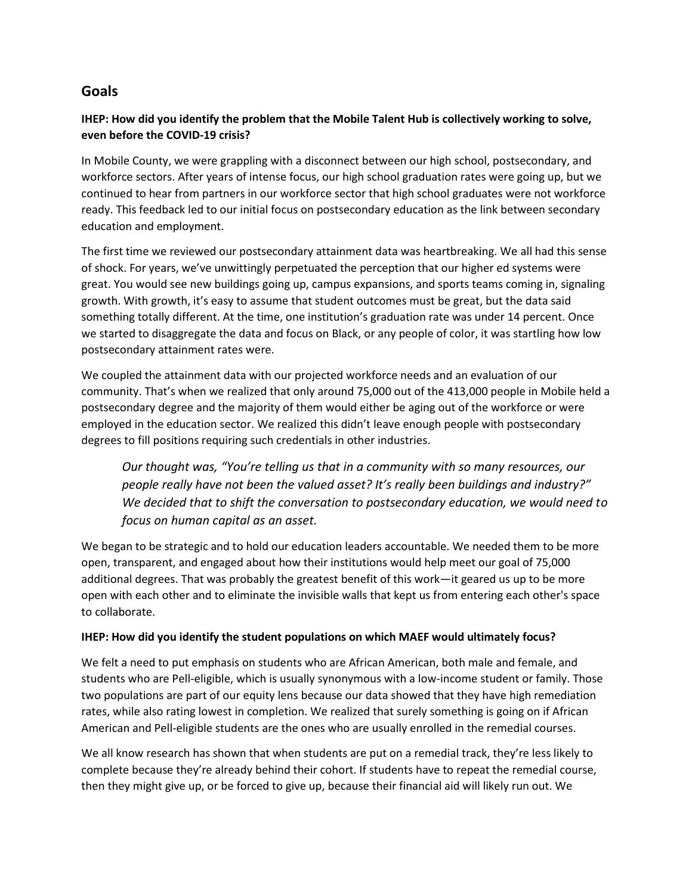## **Goals**

## **IHEP: How did you identify the problem that the Mobile Talent Hub is collectively working to solve, even before the COVID-19 crisis?**

In Mobile County, we were grappling with a disconnect between our high school, postsecondary, and workforce sectors. After years of intense focus, our high school graduation rates were going up, but we continued to hear from partners in our workforce sector that high school graduates were not workforce ready. This feedback led to our initial focus on postsecondary education as the link between secondary education and employment.

The first time we reviewed our postsecondary attainment data was heartbreaking. We all had this sense of shock. For years, we've unwittingly perpetuated the perception that our higher ed systems were great. You would see new buildings going up, campus expansions, and sports teams coming in, signaling growth. With growth, it's easy to assume that student outcomes must be great, but the data said something totally different. At the time, one institution's graduation rate was under 14 percent. Once we started to disaggregate the data and focus on Black, or any people of color, it was startling how low postsecondary attainment rates were.

We coupled the attainment data with our projected workforce needs and an evaluation of our community. That's when we realized that only around 75,000 out of the 413,000 people in Mobile held a postsecondary degree and the majority of them would either be aging out of the workforce or were employed in the education sector. We realized this didn't leave enough people with postsecondary degrees to fill positions requiring such credentials in other industries.

*Our thought was, "You're telling us that in a community with so many resources, our people really have not been the valued asset? It's really been buildings and industry?" We decided that to shift the conversation to postsecondary education, we would need to focus on human capital as an asset.*

We began to be strategic and to hold our education leaders accountable. We needed them to be more open, transparent, and engaged about how their institutions would help meet our goal of 75,000 additional degrees. That was probably the greatest benefit of this work—it geared us up to be more open with each other and to eliminate the invisible walls that kept us from entering each other's space to collaborate.

### **IHEP: How did you identify the student populations on which MAEF would ultimately focus?**

We felt a need to put emphasis on students who are African American, both male and female, and students who are Pell-eligible, which is usually synonymous with a low-income student or family. Those two populations are part of our equity lens because our data showed that they have high remediation rates, while also rating lowest in completion. We realized that surely something is going on if African American and Pell-eligible students are the ones who are usually enrolled in the remedial courses.

We all know research has shown that when students are put on a remedial track, they're less likely to complete because they're already behind their cohort. If students have to repeat the remedial course, then they might give up, or be forced to give up, because their financial aid will likely run out. We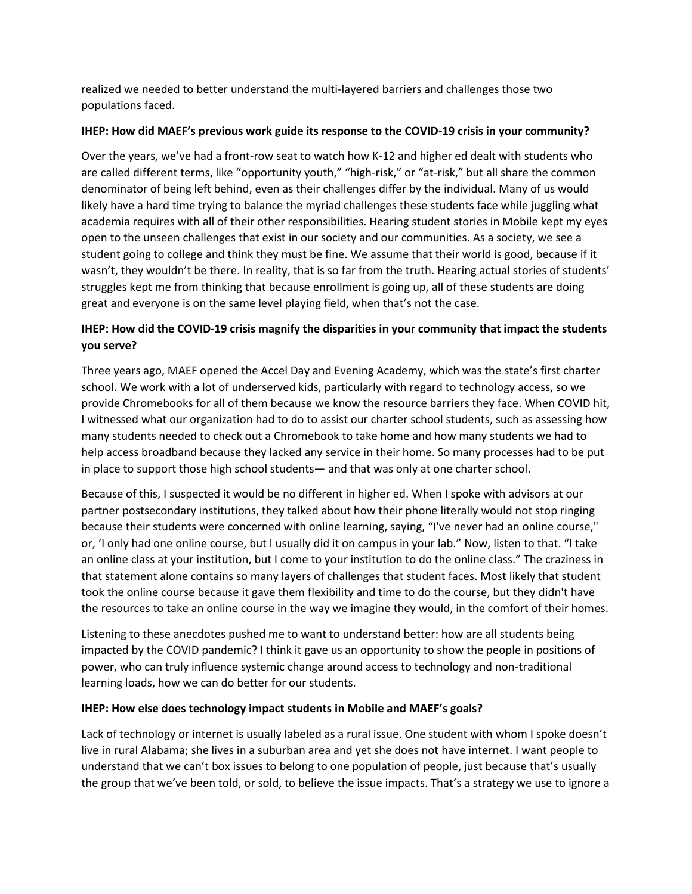realized we needed to better understand the multi-layered barriers and challenges those two populations faced.

### **IHEP: How did MAEF's previous work guide its response to the COVID-19 crisis in your community?**

Over the years, we've had a front-row seat to watch how K-12 and higher ed dealt with students who are called different terms, like "opportunity youth," "high-risk," or "at-risk," but all share the common denominator of being left behind, even as their challenges differ by the individual. Many of us would likely have a hard time trying to balance the myriad challenges these students face while juggling what academia requires with all of their other responsibilities. Hearing student stories in Mobile kept my eyes open to the unseen challenges that exist in our society and our communities. As a society, we see a student going to college and think they must be fine. We assume that their world is good, because if it wasn't, they wouldn't be there. In reality, that is so far from the truth. Hearing actual stories of students' struggles kept me from thinking that because enrollment is going up, all of these students are doing great and everyone is on the same level playing field, when that's not the case.

## **IHEP: How did the COVID-19 crisis magnify the disparities in your community that impact the students you serve?**

Three years ago, MAEF opened the Accel Day and Evening Academy, which was the state's first charter school. We work with a lot of underserved kids, particularly with regard to technology access, so we provide Chromebooks for all of them because we know the resource barriers they face. When COVID hit, I witnessed what our organization had to do to assist our charter school students, such as assessing how many students needed to check out a Chromebook to take home and how many students we had to help access broadband because they lacked any service in their home. So many processes had to be put in place to support those high school students— and that was only at one charter school.

Because of this, I suspected it would be no different in higher ed. When I spoke with advisors at our partner postsecondary institutions, they talked about how their phone literally would not stop ringing because their students were concerned with online learning, saying, "I've never had an online course," or, 'I only had one online course, but I usually did it on campus in your lab." Now, listen to that. "I take an online class at your institution, but I come to your institution to do the online class." The craziness in that statement alone contains so many layers of challenges that student faces. Most likely that student took the online course because it gave them flexibility and time to do the course, but they didn't have the resources to take an online course in the way we imagine they would, in the comfort of their homes.

Listening to these anecdotes pushed me to want to understand better: how are all students being impacted by the COVID pandemic? I think it gave us an opportunity to show the people in positions of power, who can truly influence systemic change around access to technology and non-traditional learning loads, how we can do better for our students.

#### **IHEP: How else does technology impact students in Mobile and MAEF's goals?**

Lack of technology or internet is usually labeled as a rural issue. One student with whom I spoke doesn't live in rural Alabama; she lives in a suburban area and yet she does not have internet. I want people to understand that we can't box issues to belong to one population of people, just because that's usually the group that we've been told, or sold, to believe the issue impacts. That's a strategy we use to ignore a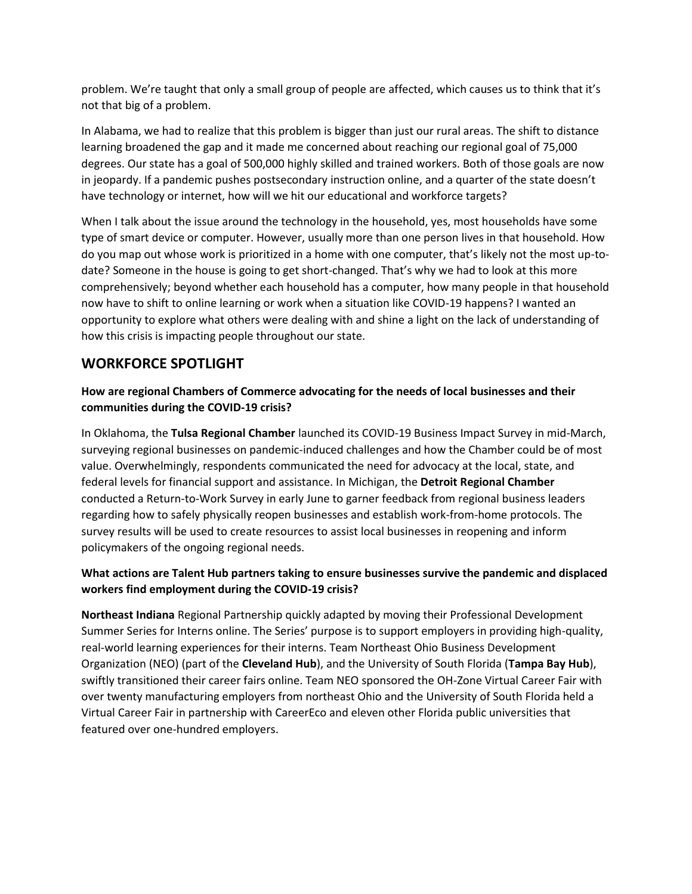problem. We're taught that only a small group of people are affected, which causes us to think that it's not that big of a problem.

In Alabama, we had to realize that this problem is bigger than just our rural areas. The shift to distance learning broadened the gap and it made me concerned about reaching our regional goal of 75,000 degrees. Our state has a goal of 500,000 highly skilled and trained workers. Both of those goals are now in jeopardy. If a pandemic pushes postsecondary instruction online, and a quarter of the state doesn't have technology or internet, how will we hit our educational and workforce targets?

When I talk about the issue around the technology in the household, yes, most households have some type of smart device or computer. However, usually more than one person lives in that household. How do you map out whose work is prioritized in a home with one computer, that's likely not the most up-todate? Someone in the house is going to get short-changed. That's why we had to look at this more comprehensively; beyond whether each household has a computer, how many people in that household now have to shift to online learning or work when a situation like COVID-19 happens? I wanted an opportunity to explore what others were dealing with and shine a light on the lack of understanding of how this crisis is impacting people throughout our state.

## **WORKFORCE SPOTLIGHT**

## **How are regional Chambers of Commerce advocating for the needs of local businesses and their communities during the COVID-19 crisis?**

In Oklahoma, the **Tulsa Regional Chamber** launched its COVID-19 Business Impact Survey in mid-March, surveying regional businesses on pandemic-induced challenges and how the Chamber could be of most value. Overwhelmingly, respondents communicated the need for advocacy at the local, state, and federal levels for financial support and assistance. In Michigan, the **Detroit Regional Chamber** conducted a Return-to-Work Survey in early June to garner feedback from regional business leaders regarding how to safely physically reopen businesses and establish work-from-home protocols. The survey results will be used to create resources to assist local businesses in reopening and inform policymakers of the ongoing regional needs.

## **What actions are Talent Hub partners taking to ensure businesses survive the pandemic and displaced workers find employment during the COVID-19 crisis?**

**Northeast Indiana** Regional Partnership quickly adapted by moving their Professional Development Summer Series for Interns online. The Series' purpose is to support employers in providing high-quality, real-world learning experiences for their interns. Team Northeast Ohio Business Development Organization (NEO) (part of the **Cleveland Hub**), and the University of South Florida (**Tampa Bay Hub**), swiftly transitioned their career fairs online. Team NEO sponsored the OH-Zone Virtual Career Fair with over twenty manufacturing employers from northeast Ohio and the University of South Florida held a Virtual Career Fair in partnership with CareerEco and eleven other Florida public universities that featured over one-hundred employers.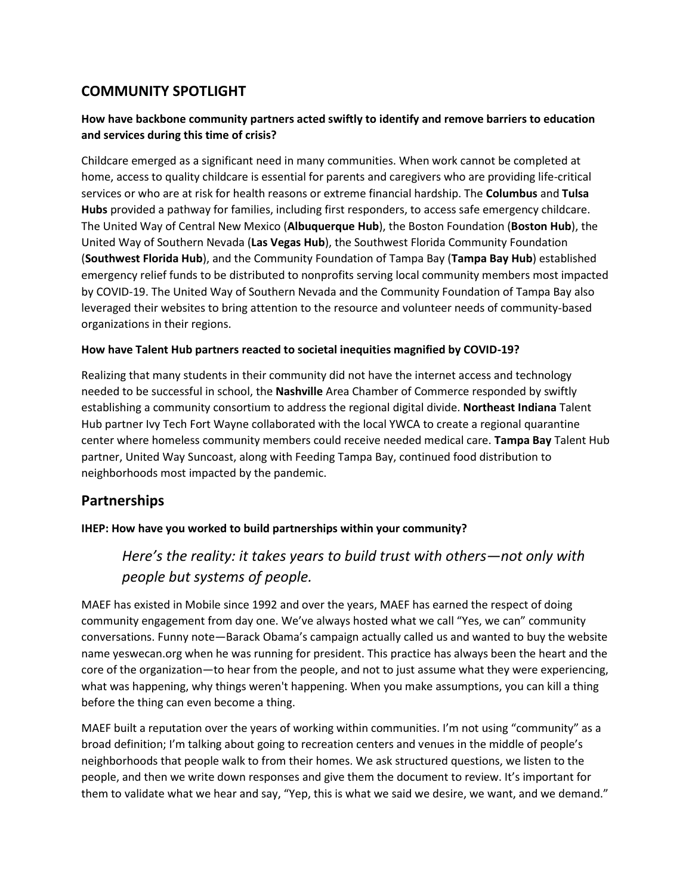# **COMMUNITY SPOTLIGHT**

## **How have backbone community partners acted swiftly to identify and remove barriers to education and services during this time of crisis?**

Childcare emerged as a significant need in many communities. When work cannot be completed at home, access to quality childcare is essential for parents and caregivers who are providing life-critical services or who are at risk for health reasons or extreme financial hardship. The **Columbus** and **Tulsa Hubs** provided a pathway for families, including first responders, to access safe emergency childcare. The United Way of Central New Mexico (**Albuquerque Hub**), the Boston Foundation (**Boston Hub**), the United Way of Southern Nevada (**Las Vegas Hub**), the Southwest Florida Community Foundation (**Southwest Florida Hub**), and the Community Foundation of Tampa Bay (**Tampa Bay Hub**) established emergency relief funds to be distributed to nonprofits serving local community members most impacted by COVID-19. The United Way of Southern Nevada and the Community Foundation of Tampa Bay also leveraged their websites to bring attention to the resource and volunteer needs of community-based organizations in their regions.

### **How have Talent Hub partners reacted to societal inequities magnified by COVID-19?**

Realizing that many students in their community did not have the internet access and technology needed to be successful in school, the **Nashville** Area Chamber of Commerce responded by swiftly establishing a community consortium to address the regional digital divide. **Northeast Indiana** Talent Hub partner Ivy Tech Fort Wayne collaborated with the local YWCA to create a regional quarantine center where homeless community members could receive needed medical care. **Tampa Bay** Talent Hub partner, United Way Suncoast, along with Feeding Tampa Bay, continued food distribution to neighborhoods most impacted by the pandemic.

## **Partnerships**

### **IHEP: How have you worked to build partnerships within your community?**

# *Here's the reality: it takes years to build trust with others—not only with people but systems of people.*

MAEF has existed in Mobile since 1992 and over the years, MAEF has earned the respect of doing community engagement from day one. We've always hosted what we call "Yes, we can" community conversations. Funny note—Barack Obama's campaign actually called us and wanted to buy the website name yeswecan.org when he was running for president. This practice has always been the heart and the core of the organization—to hear from the people, and not to just assume what they were experiencing, what was happening, why things weren't happening. When you make assumptions, you can kill a thing before the thing can even become a thing.

MAEF built a reputation over the years of working within communities. I'm not using "community" as a broad definition; I'm talking about going to recreation centers and venues in the middle of people's neighborhoods that people walk to from their homes. We ask structured questions, we listen to the people, and then we write down responses and give them the document to review. It's important for them to validate what we hear and say, "Yep, this is what we said we desire, we want, and we demand."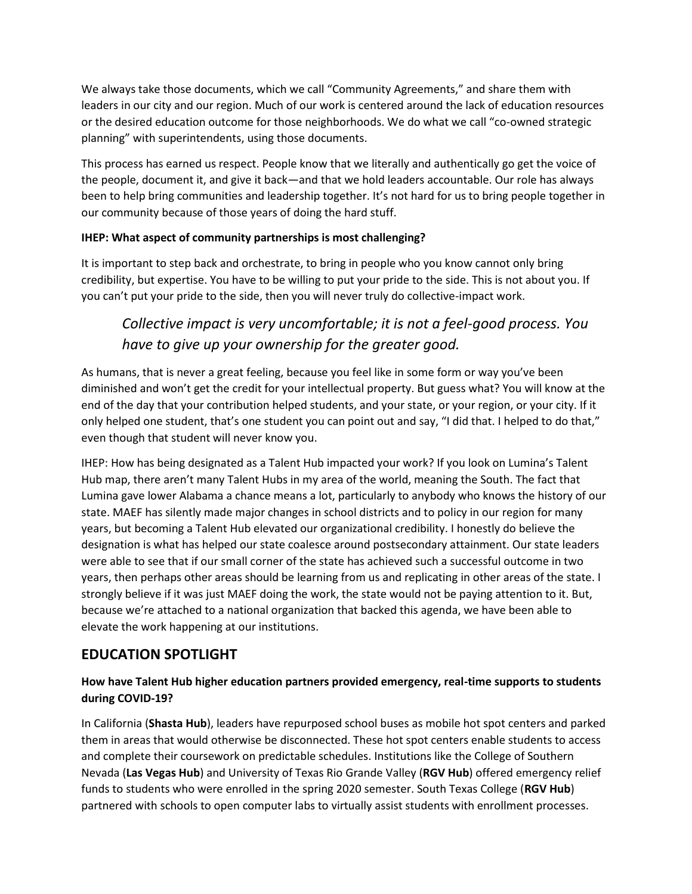We always take those documents, which we call "Community Agreements," and share them with leaders in our city and our region. Much of our work is centered around the lack of education resources or the desired education outcome for those neighborhoods. We do what we call "co-owned strategic planning" with superintendents, using those documents.

This process has earned us respect. People know that we literally and authentically go get the voice of the people, document it, and give it back—and that we hold leaders accountable. Our role has always been to help bring communities and leadership together. It's not hard for us to bring people together in our community because of those years of doing the hard stuff.

## **IHEP: What aspect of community partnerships is most challenging?**

It is important to step back and orchestrate, to bring in people who you know cannot only bring credibility, but expertise. You have to be willing to put your pride to the side. This is not about you. If you can't put your pride to the side, then you will never truly do collective-impact work.

# *Collective impact is very uncomfortable; it is not a feel-good process. You have to give up your ownership for the greater good.*

As humans, that is never a great feeling, because you feel like in some form or way you've been diminished and won't get the credit for your intellectual property. But guess what? You will know at the end of the day that your contribution helped students, and your state, or your region, or your city. If it only helped one student, that's one student you can point out and say, "I did that. I helped to do that," even though that student will never know you.

IHEP: How has being designated as a Talent Hub impacted your work? If you look on Lumina's Talent Hub map, there aren't many Talent Hubs in my area of the world, meaning the South. The fact that Lumina gave lower Alabama a chance means a lot, particularly to anybody who knows the history of our state. MAEF has silently made major changes in school districts and to policy in our region for many years, but becoming a Talent Hub elevated our organizational credibility. I honestly do believe the designation is what has helped our state coalesce around postsecondary attainment. Our state leaders were able to see that if our small corner of the state has achieved such a successful outcome in two years, then perhaps other areas should be learning from us and replicating in other areas of the state. I strongly believe if it was just MAEF doing the work, the state would not be paying attention to it. But, because we're attached to a national organization that backed this agenda, we have been able to elevate the work happening at our institutions.

# **EDUCATION SPOTLIGHT**

## **How have Talent Hub higher education partners provided emergency, real-time supports to students during COVID-19?**

In California (**Shasta Hub**), leaders have repurposed school buses as mobile hot spot centers and parked them in areas that would otherwise be disconnected. These hot spot centers enable students to access and complete their coursework on predictable schedules. Institutions like the College of Southern Nevada (**Las Vegas Hub**) and University of Texas Rio Grande Valley (**RGV Hub**) offered emergency relief funds to students who were enrolled in the spring 2020 semester. South Texas College (**RGV Hub**) partnered with schools to open computer labs to virtually assist students with enrollment processes.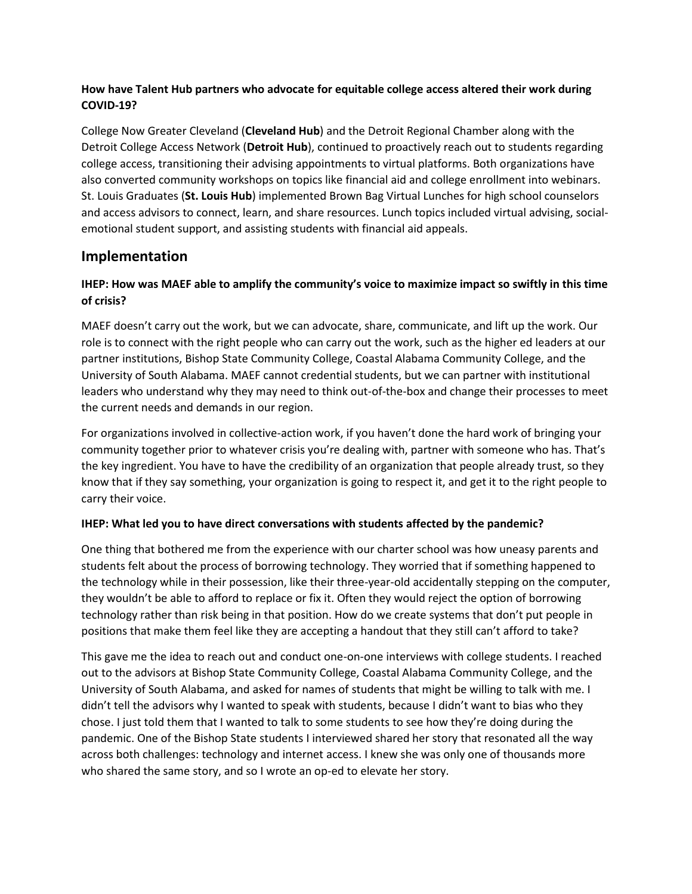## **How have Talent Hub partners who advocate for equitable college access altered their work during COVID-19?**

College Now Greater Cleveland (**Cleveland Hub**) and the Detroit Regional Chamber along with the Detroit College Access Network (**Detroit Hub**), continued to proactively reach out to students regarding college access, transitioning their advising appointments to virtual platforms. Both organizations have also converted community workshops on topics like financial aid and college enrollment into webinars. St. Louis Graduates (**St. Louis Hub**) implemented Brown Bag Virtual Lunches for high school counselors and access advisors to connect, learn, and share resources. Lunch topics included virtual advising, socialemotional student support, and assisting students with financial aid appeals.

## **Implementation**

## **IHEP: How was MAEF able to amplify the community's voice to maximize impact so swiftly in this time of crisis?**

MAEF doesn't carry out the work, but we can advocate, share, communicate, and lift up the work. Our role is to connect with the right people who can carry out the work, such as the higher ed leaders at our partner institutions, Bishop State Community College, Coastal Alabama Community College, and the University of South Alabama. MAEF cannot credential students, but we can partner with institutional leaders who understand why they may need to think out-of-the-box and change their processes to meet the current needs and demands in our region.

For organizations involved in collective-action work, if you haven't done the hard work of bringing your community together prior to whatever crisis you're dealing with, partner with someone who has. That's the key ingredient. You have to have the credibility of an organization that people already trust, so they know that if they say something, your organization is going to respect it, and get it to the right people to carry their voice.

### **IHEP: What led you to have direct conversations with students affected by the pandemic?**

One thing that bothered me from the experience with our charter school was how uneasy parents and students felt about the process of borrowing technology. They worried that if something happened to the technology while in their possession, like their three-year-old accidentally stepping on the computer, they wouldn't be able to afford to replace or fix it. Often they would reject the option of borrowing technology rather than risk being in that position. How do we create systems that don't put people in positions that make them feel like they are accepting a handout that they still can't afford to take?

This gave me the idea to reach out and conduct one-on-one interviews with college students. I reached out to the advisors at Bishop State Community College, Coastal Alabama Community College, and the University of South Alabama, and asked for names of students that might be willing to talk with me. I didn't tell the advisors why I wanted to speak with students, because I didn't want to bias who they chose. I just told them that I wanted to talk to some students to see how they're doing during the pandemic. One of the Bishop State students I interviewed shared her story that resonated all the way across both challenges: technology and internet access. I knew she was only one of thousands more who shared the same story, and so I wrote an op-ed to elevate her story.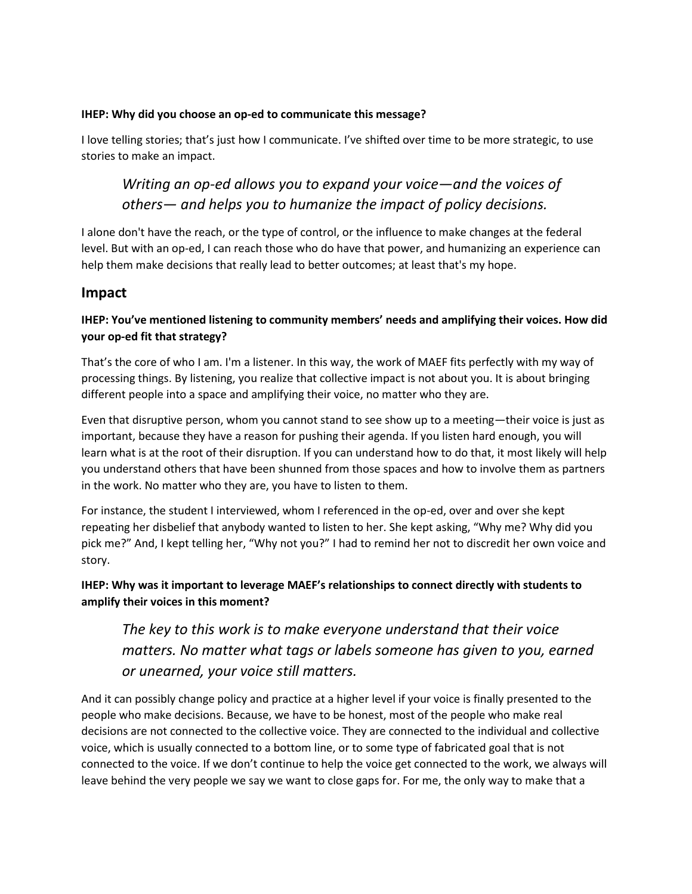### **IHEP: Why did you choose an op-ed to communicate this message?**

I love telling stories; that's just how I communicate. I've shifted over time to be more strategic, to use stories to make an impact.

# *Writing an op-ed allows you to expand your voice—and the voices of others— and helps you to humanize the impact of policy decisions.*

I alone don't have the reach, or the type of control, or the influence to make changes at the federal level. But with an op-ed, I can reach those who do have that power, and humanizing an experience can help them make decisions that really lead to better outcomes; at least that's my hope.

## **Impact**

## **IHEP: You've mentioned listening to community members' needs and amplifying their voices. How did your op-ed fit that strategy?**

That's the core of who I am. I'm a listener. In this way, the work of MAEF fits perfectly with my way of processing things. By listening, you realize that collective impact is not about you. It is about bringing different people into a space and amplifying their voice, no matter who they are.

Even that disruptive person, whom you cannot stand to see show up to a meeting—their voice is just as important, because they have a reason for pushing their agenda. If you listen hard enough, you will learn what is at the root of their disruption. If you can understand how to do that, it most likely will help you understand others that have been shunned from those spaces and how to involve them as partners in the work. No matter who they are, you have to listen to them.

For instance, the student I interviewed, whom I referenced in the op-ed, over and over she kept repeating her disbelief that anybody wanted to listen to her. She kept asking, "Why me? Why did you pick me?" And, I kept telling her, "Why not you?" I had to remind her not to discredit her own voice and story.

## **IHEP: Why was it important to leverage MAEF's relationships to connect directly with students to amplify their voices in this moment?**

*The key to this work is to make everyone understand that their voice matters. No matter what tags or labels someone has given to you, earned or unearned, your voice still matters.*

And it can possibly change policy and practice at a higher level if your voice is finally presented to the people who make decisions. Because, we have to be honest, most of the people who make real decisions are not connected to the collective voice. They are connected to the individual and collective voice, which is usually connected to a bottom line, or to some type of fabricated goal that is not connected to the voice. If we don't continue to help the voice get connected to the work, we always will leave behind the very people we say we want to close gaps for. For me, the only way to make that a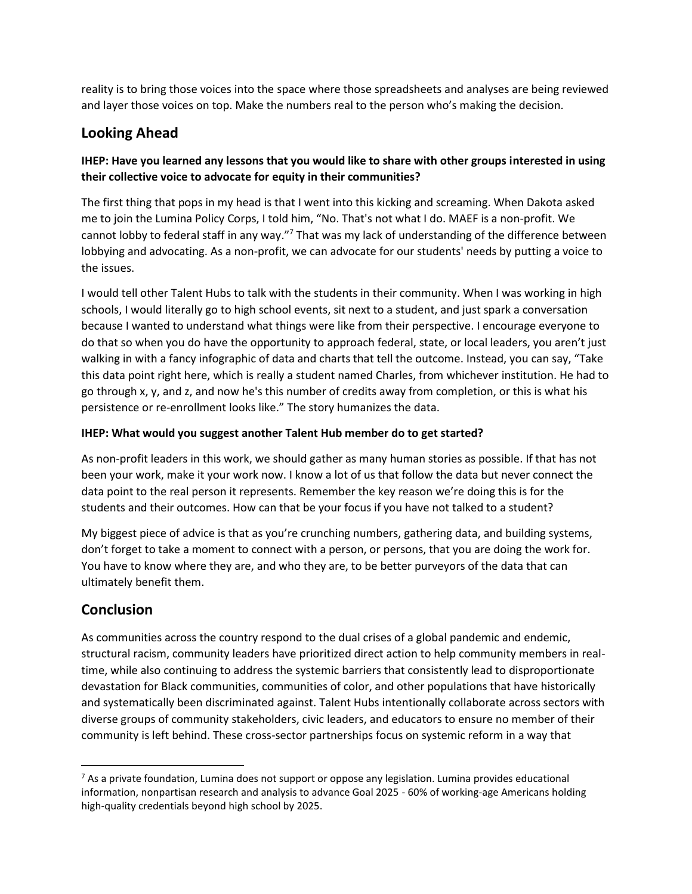reality is to bring those voices into the space where those spreadsheets and analyses are being reviewed and layer those voices on top. Make the numbers real to the person who's making the decision.

# **Looking Ahead**

## **IHEP: Have you learned any lessons that you would like to share with other groups interested in using their collective voice to advocate for equity in their communities?**

The first thing that pops in my head is that I went into this kicking and screaming. When Dakota asked me to join the Lumina Policy Corps, I told him, "No. That's not what I do. MAEF is a non-profit. We cannot lobby to federal staff in any way."<sup>7</sup> That was my lack of understanding of the difference between lobbying and advocating. As a non-profit, we can advocate for our students' needs by putting a voice to the issues.

I would tell other Talent Hubs to talk with the students in their community. When I was working in high schools, I would literally go to high school events, sit next to a student, and just spark a conversation because I wanted to understand what things were like from their perspective. I encourage everyone to do that so when you do have the opportunity to approach federal, state, or local leaders, you aren't just walking in with a fancy infographic of data and charts that tell the outcome. Instead, you can say, "Take this data point right here, which is really a student named Charles, from whichever institution. He had to go through x, y, and z, and now he's this number of credits away from completion, or this is what his persistence or re-enrollment looks like." The story humanizes the data.

### **IHEP: What would you suggest another Talent Hub member do to get started?**

As non-profit leaders in this work, we should gather as many human stories as possible. If that has not been your work, make it your work now. I know a lot of us that follow the data but never connect the data point to the real person it represents. Remember the key reason we're doing this is for the students and their outcomes. How can that be your focus if you have not talked to a student?

My biggest piece of advice is that as you're crunching numbers, gathering data, and building systems, don't forget to take a moment to connect with a person, or persons, that you are doing the work for. You have to know where they are, and who they are, to be better purveyors of the data that can ultimately benefit them.

# **Conclusion**

As communities across the country respond to the dual crises of a global pandemic and endemic, structural racism, community leaders have prioritized direct action to help community members in realtime, while also continuing to address the systemic barriers that consistently lead to disproportionate devastation for Black communities, communities of color, and other populations that have historically and systematically been discriminated against. Talent Hubs intentionally collaborate across sectors with diverse groups of community stakeholders, civic leaders, and educators to ensure no member of their community is left behind. These cross-sector partnerships focus on systemic reform in a way that

<sup>&</sup>lt;sup>7</sup> As a private foundation, Lumina does not support or oppose any legislation. Lumina provides educational information, nonpartisan research and analysis to advance Goal 2025 - 60% of working-age Americans holding high-quality credentials beyond high school by 2025.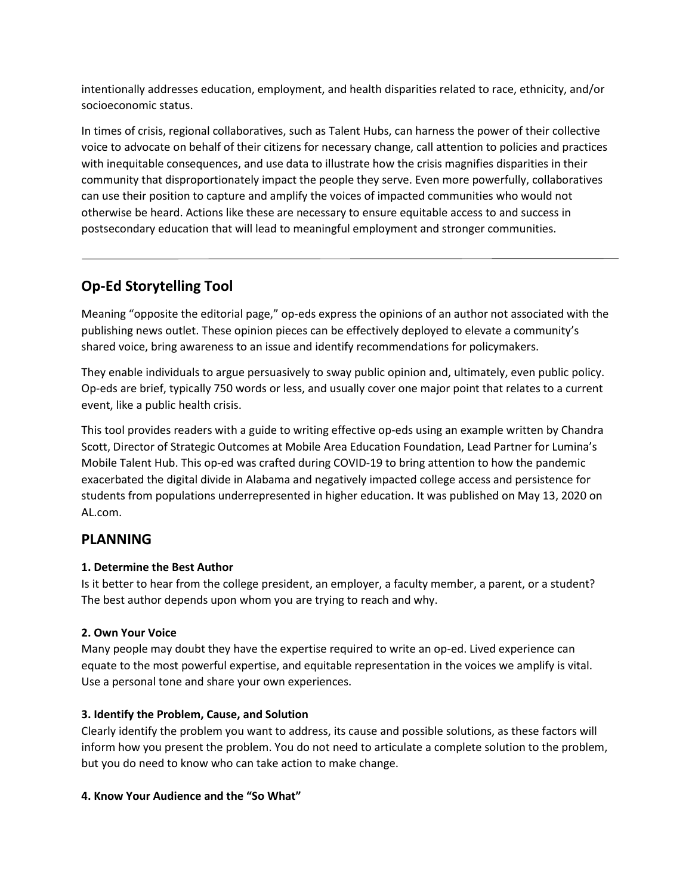intentionally addresses education, employment, and health disparities related to race, ethnicity, and/or socioeconomic status.

In times of crisis, regional collaboratives, such as Talent Hubs, can harness the power of their collective voice to advocate on behalf of their citizens for necessary change, call attention to policies and practices with inequitable consequences, and use data to illustrate how the crisis magnifies disparities in their community that disproportionately impact the people they serve. Even more powerfully, collaboratives can use their position to capture and amplify the voices of impacted communities who would not otherwise be heard. Actions like these are necessary to ensure equitable access to and success in postsecondary education that will lead to meaningful employment and stronger communities.

# **Op-Ed Storytelling Tool**

Meaning "opposite the editorial page," op-eds express the opinions of an author not associated with the publishing news outlet. These opinion pieces can be effectively deployed to elevate a community's shared voice, bring awareness to an issue and identify recommendations for policymakers.

They enable individuals to argue persuasively to sway public opinion and, ultimately, even public policy. Op-eds are brief, typically 750 words or less, and usually cover one major point that relates to a current event, like a public health crisis.

This tool provides readers with a guide to writing effective op-eds using an example written by Chandra Scott, Director of Strategic Outcomes at Mobile Area Education Foundation, Lead Partner for Lumina's Mobile Talent Hub. This op-ed was crafted during COVID-19 to bring attention to how the pandemic exacerbated the digital divide in Alabama and negatively impacted college access and persistence for students from populations underrepresented in higher education. It was published on May 13, 2020 on AL.com.

## **PLANNING**

### **1. Determine the Best Author**

Is it better to hear from the college president, an employer, a faculty member, a parent, or a student? The best author depends upon whom you are trying to reach and why.

### **2. Own Your Voice**

Many people may doubt they have the expertise required to write an op-ed. Lived experience can equate to the most powerful expertise, and equitable representation in the voices we amplify is vital. Use a personal tone and share your own experiences.

### **3. Identify the Problem, Cause, and Solution**

Clearly identify the problem you want to address, its cause and possible solutions, as these factors will inform how you present the problem. You do not need to articulate a complete solution to the problem, but you do need to know who can take action to make change.

### **4. Know Your Audience and the "So What"**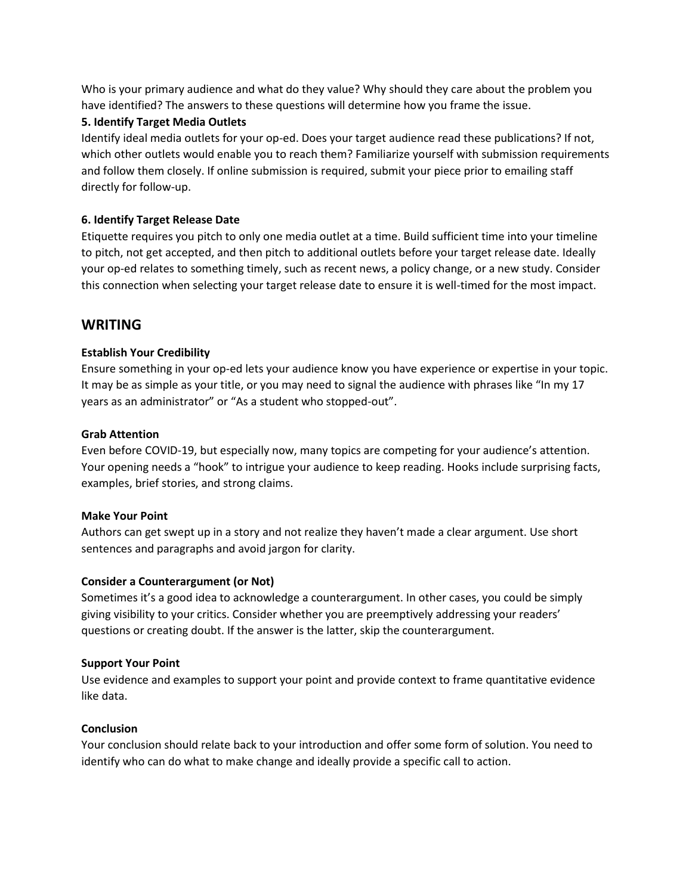Who is your primary audience and what do they value? Why should they care about the problem you have identified? The answers to these questions will determine how you frame the issue.

### **5. Identify Target Media Outlets**

Identify ideal media outlets for your op-ed. Does your target audience read these publications? If not, which other outlets would enable you to reach them? Familiarize yourself with submission requirements and follow them closely. If online submission is required, submit your piece prior to emailing staff directly for follow-up.

### **6. Identify Target Release Date**

Etiquette requires you pitch to only one media outlet at a time. Build sufficient time into your timeline to pitch, not get accepted, and then pitch to additional outlets before your target release date. Ideally your op-ed relates to something timely, such as recent news, a policy change, or a new study. Consider this connection when selecting your target release date to ensure it is well-timed for the most impact.

## **WRITING**

### **Establish Your Credibility**

Ensure something in your op-ed lets your audience know you have experience or expertise in your topic. It may be as simple as your title, or you may need to signal the audience with phrases like "In my 17 years as an administrator" or "As a student who stopped-out".

#### **Grab Attention**

Even before COVID-19, but especially now, many topics are competing for your audience's attention. Your opening needs a "hook" to intrigue your audience to keep reading. Hooks include surprising facts, examples, brief stories, and strong claims.

#### **Make Your Point**

Authors can get swept up in a story and not realize they haven't made a clear argument. Use short sentences and paragraphs and avoid jargon for clarity.

#### **Consider a Counterargument (or Not)**

Sometimes it's a good idea to acknowledge a counterargument. In other cases, you could be simply giving visibility to your critics. Consider whether you are preemptively addressing your readers' questions or creating doubt. If the answer is the latter, skip the counterargument.

#### **Support Your Point**

Use evidence and examples to support your point and provide context to frame quantitative evidence like data.

#### **Conclusion**

Your conclusion should relate back to your introduction and offer some form of solution. You need to identify who can do what to make change and ideally provide a specific call to action.